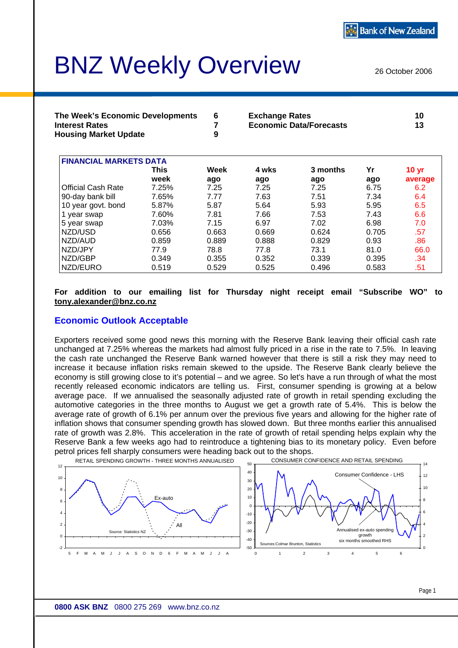# BNZ Weekly Overview

26 October 2006

| The Week's Economic Developments | <b>Exchange Rates</b>          | 10 |
|----------------------------------|--------------------------------|----|
| <b>Interest Rates</b>            | <b>Economic Data/Forecasts</b> | 13 |
| <b>Housing Market Update</b>     |                                |    |

| <b>FINANCIAL MARKETS DATA</b> |       |       |       |          |       |              |  |  |
|-------------------------------|-------|-------|-------|----------|-------|--------------|--|--|
|                               | This  | Week  | 4 wks | 3 months | Yr    | <b>10 yr</b> |  |  |
|                               | week  | ago   | ago   | ago      | ago   | average      |  |  |
| <b>Official Cash Rate</b>     | 7.25% | 7.25  | 7.25  | 7.25     | 6.75  | 6.2          |  |  |
| 90-day bank bill              | 7.65% | 7.77  | 7.63  | 7.51     | 7.34  | 6.4          |  |  |
| 10 year govt. bond            | 5.87% | 5.87  | 5.64  | 5.93     | 5.95  | 6.5          |  |  |
| 1 year swap                   | 7.60% | 7.81  | 7.66  | 7.53     | 7.43  | 6.6          |  |  |
| 5 year swap                   | 7.03% | 7.15  | 6.97  | 7.02     | 6.98  | 7.0          |  |  |
| NZD/USD                       | 0.656 | 0.663 | 0.669 | 0.624    | 0.705 | .57          |  |  |
| NZD/AUD                       | 0.859 | 0.889 | 0.888 | 0.829    | 0.93  | .86          |  |  |
| NZD/JPY                       | 77.9  | 78.8  | 77.8  | 73.1     | 81.0  | 66.0         |  |  |
| NZD/GBP                       | 0.349 | 0.355 | 0.352 | 0.339    | 0.395 | .34          |  |  |
| NZD/EURO                      | 0.519 | 0.529 | 0.525 | 0.496    | 0.583 | .51          |  |  |

#### **For addition to our emailing list for Thursday night receipt email "Subscribe WO" to [tony.alexander@bnz.co.nz](mailto:tony.alexander@bnz.co.nz)**

### **Economic Outlook Acceptable**

Exporters received some good news this morning with the Reserve Bank leaving their official cash rate unchanged at 7.25% whereas the markets had almost fully priced in a rise in the rate to 7.5%. In leaving the cash rate unchanged the Reserve Bank warned however that there is still a risk they may need to increase it because inflation risks remain skewed to the upside. The Reserve Bank clearly believe the economy is still growing close to it's potential – and we agree. So let's have a run through of what the most recently released economic indicators are telling us. First, consumer spending is growing at a below average pace. If we annualised the seasonally adjusted rate of growth in retail spending excluding the automotive categories in the three months to August we get a growth rate of 5.4%. This is below the average rate of growth of 6.1% per annum over the previous five years and allowing for the higher rate of inflation shows that consumer spending growth has slowed down. But three months earlier this annualised rate of growth was 2.8%. This acceleration in the rate of growth of retail spending helps explain why the Reserve Bank a few weeks ago had to reintroduce a tightening bias to its monetary policy. Even before petrol prices fell sharply consumers were heading back out to the shops.

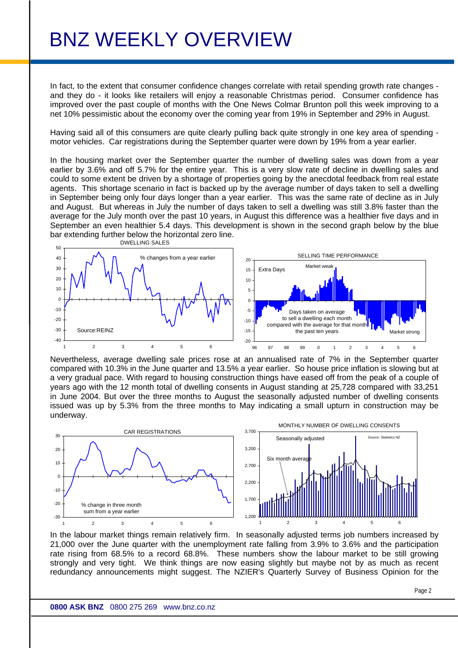In fact, to the extent that consumer confidence changes correlate with retail spending growth rate changes and they do - it looks like retailers will enjoy a reasonable Christmas period. Consumer confidence has improved over the past couple of months with the One News Colmar Brunton poll this week improving to a net 10% pessimistic about the economy over the coming year from 19% in September and 29% in August.

Having said all of this consumers are quite clearly pulling back quite strongly in one key area of spending motor vehicles. Car registrations during the September quarter were down by 19% from a year earlier.

In the housing market over the September quarter the number of dwelling sales was down from a year earlier by 3.6% and off 5.7% for the entire year. This is a very slow rate of decline in dwelling sales and could to some extent be driven by a shortage of properties going by the anecdotal feedback from real estate agents. This shortage scenario in fact is backed up by the average number of days taken to sell a dwelling in September being only four days longer than a year earlier. This was the same rate of decline as in July and August. But whereas in July the number of days taken to sell a dwelling was still 3.8% faster than the average for the July month over the past 10 years, in August this difference was a healthier five days and in September an even healthier 5.4 days. This development is shown in the second graph below by the blue bar extending further below the horizontal zero line.



Nevertheless, average dwelling sale prices rose at an annualised rate of 7% in the September quarter compared with 10.3% in the June quarter and 13.5% a year earlier. So house price inflation is slowing but at a very gradual pace. With regard to housing construction things have eased off from the peak of a couple of years ago with the 12 month total of dwelling consents in August standing at 25,728 compared with 33,251 in June 2004. But over the three months to August the seasonally adjusted number of dwelling consents issued was up by 5.3% from the three months to May indicating a small upturn in construction may be underway.



In the labour market things remain relatively firm. In seasonally adjusted terms job numbers increased by 21,000 over the June quarter with the unemployment rate falling from 3.9% to 3.6% and the participation rate rising from 68.5% to a record 68.8%. These numbers show the labour market to be still growing strongly and very tight. We think things are now easing slightly but maybe not by as much as recent redundancy announcements might suggest. The NZIER's Quarterly Survey of Business Opinion for the

Page 2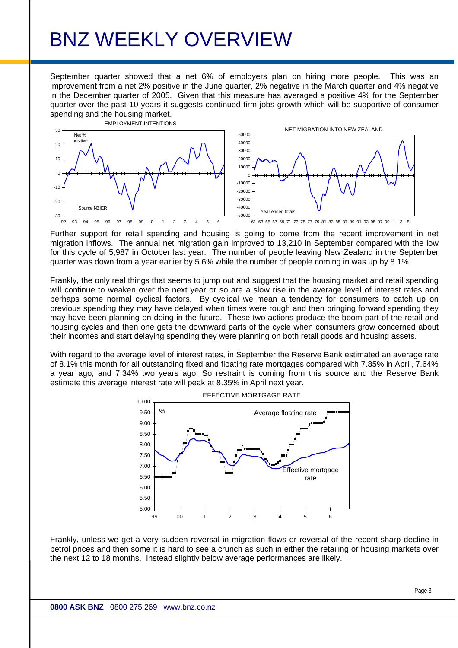September quarter showed that a net 6% of employers plan on hiring more people. This was an improvement from a net 2% positive in the June quarter, 2% negative in the March quarter and 4% negative in the December quarter of 2005. Given that this measure has averaged a positive 4% for the September quarter over the past 10 years it suggests continued firm jobs growth which will be supportive of consumer spending and the housing market.



Further support for retail spending and housing is going to come from the recent improvement in net migration inflows. The annual net migration gain improved to 13,210 in September compared with the low for this cycle of 5,987 in October last year. The number of people leaving New Zealand in the September quarter was down from a year earlier by 5.6% while the number of people coming in was up by 8.1%.

Frankly, the only real things that seems to jump out and suggest that the housing market and retail spending will continue to weaken over the next year or so are a slow rise in the average level of interest rates and perhaps some normal cyclical factors. By cyclical we mean a tendency for consumers to catch up on previous spending they may have delayed when times were rough and then bringing forward spending they may have been planning on doing in the future. These two actions produce the boom part of the retail and housing cycles and then one gets the downward parts of the cycle when consumers grow concerned about their incomes and start delaying spending they were planning on both retail goods and housing assets.

With regard to the average level of interest rates, in September the Reserve Bank estimated an average rate of 8.1% this month for all outstanding fixed and floating rate mortgages compared with 7.85% in April, 7.64% a year ago, and 7.34% two years ago. So restraint is coming from this source and the Reserve Bank estimate this average interest rate will peak at 8.35% in April next year.



Frankly, unless we get a very sudden reversal in migration flows or reversal of the recent sharp decline in petrol prices and then some it is hard to see a crunch as such in either the retailing or housing markets over the next 12 to 18 months. Instead slightly below average performances are likely.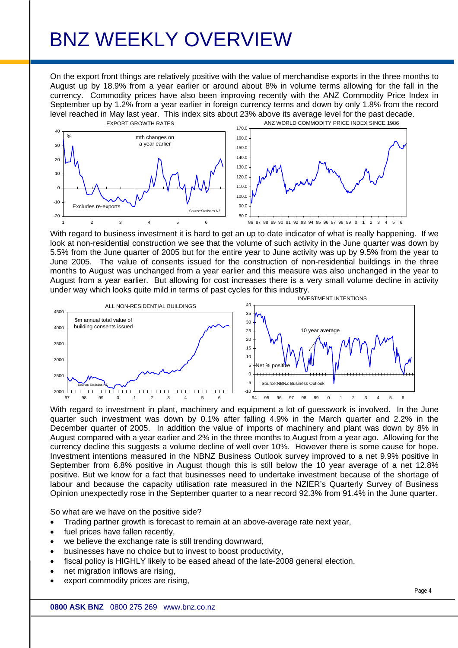On the export front things are relatively positive with the value of merchandise exports in the three months to August up by 18.9% from a year earlier or around about 8% in volume terms allowing for the fall in the currency. Commodity prices have also been improving recently with the ANZ Commodity Price Index in September up by 1.2% from a year earlier in foreign currency terms and down by only 1.8% from the record level reached in May last year. This index sits about 23% above its average level for the past decade.



With regard to business investment it is hard to get an up to date indicator of what is really happening. If we look at non-residential construction we see that the volume of such activity in the June quarter was down by 5.5% from the June quarter of 2005 but for the entire year to June activity was up by 9.5% from the year to June 2005. The value of consents issued for the construction of non-residential buildings in the three months to August was unchanged from a year earlier and this measure was also unchanged in the year to August from a year earlier. But allowing for cost increases there is a very small volume decline in activity under way which looks quite mild in terms of past cycles for this industry.



With regard to investment in plant, machinery and equipment a lot of guesswork is involved. In the June quarter such investment was down by 0.1% after falling 4.9% in the March quarter and 2.2% in the December quarter of 2005. In addition the value of imports of machinery and plant was down by 8% in August compared with a year earlier and 2% in the three months to August from a year ago. Allowing for the currency decline this suggests a volume decline of well over 10%. However there is some cause for hope. Investment intentions measured in the NBNZ Business Outlook survey improved to a net 9.9% positive in September from 6.8% positive in August though this is still below the 10 year average of a net 12.8% positive. But we know for a fact that businesses need to undertake investment because of the shortage of labour and because the capacity utilisation rate measured in the NZIER's Quarterly Survey of Business Opinion unexpectedly rose in the September quarter to a near record 92.3% from 91.4% in the June quarter.

So what are we have on the positive side?

- Trading partner growth is forecast to remain at an above-average rate next year,
- fuel prices have fallen recently,
- we believe the exchange rate is still trending downward,
- businesses have no choice but to invest to boost productivity,
- fiscal policy is HIGHLY likely to be eased ahead of the late-2008 general election,
- net migration inflows are rising.
- export commodity prices are rising.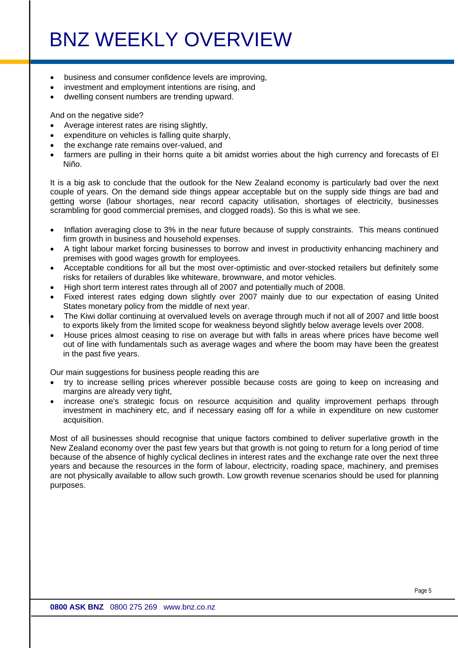- business and consumer confidence levels are improving,
- investment and employment intentions are rising, and
- dwelling consent numbers are trending upward.

And on the negative side?

- Average interest rates are rising slightly,
- expenditure on vehicles is falling quite sharply,
- the exchange rate remains over-valued, and
- farmers are pulling in their horns quite a bit amidst worries about the high currency and forecasts of El Niño.

It is a big ask to conclude that the outlook for the New Zealand economy is particularly bad over the next couple of years. On the demand side things appear acceptable but on the supply side things are bad and getting worse (labour shortages, near record capacity utilisation, shortages of electricity, businesses scrambling for good commercial premises, and clogged roads). So this is what we see.

- Inflation averaging close to 3% in the near future because of supply constraints. This means continued firm growth in business and household expenses.
- A tight labour market forcing businesses to borrow and invest in productivity enhancing machinery and premises with good wages growth for employees.
- Acceptable conditions for all but the most over-optimistic and over-stocked retailers but definitely some risks for retailers of durables like whiteware, brownware, and motor vehicles.
- High short term interest rates through all of 2007 and potentially much of 2008.
- Fixed interest rates edging down slightly over 2007 mainly due to our expectation of easing United States monetary policy from the middle of next year.
- The Kiwi dollar continuing at overvalued levels on average through much if not all of 2007 and little boost to exports likely from the limited scope for weakness beyond slightly below average levels over 2008.
- House prices almost ceasing to rise on average but with falls in areas where prices have become well out of line with fundamentals such as average wages and where the boom may have been the greatest in the past five years.

Our main suggestions for business people reading this are

- try to increase selling prices wherever possible because costs are going to keep on increasing and margins are already very tight,
- increase one's strategic focus on resource acquisition and quality improvement perhaps through investment in machinery etc, and if necessary easing off for a while in expenditure on new customer acquisition.

Most of all businesses should recognise that unique factors combined to deliver superlative growth in the New Zealand economy over the past few years but that growth is not going to return for a long period of time because of the absence of highly cyclical declines in interest rates and the exchange rate over the next three years and because the resources in the form of labour, electricity, roading space, machinery, and premises are not physically available to allow such growth. Low growth revenue scenarios should be used for planning purposes.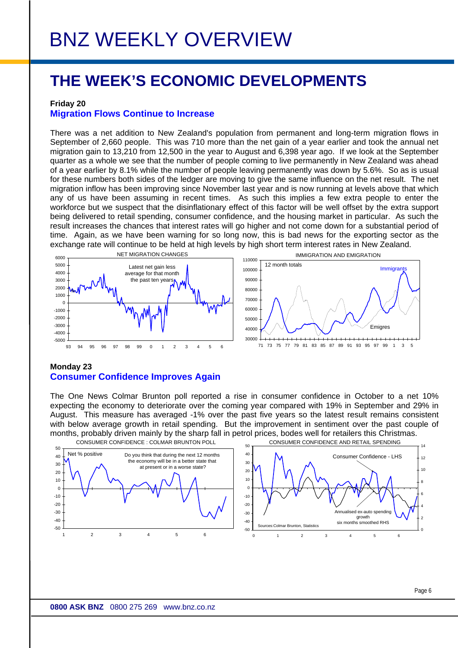### **THE WEEK'S ECONOMIC DEVELOPMENTS**

#### **Friday 20**

### **Migration Flows Continue to Increase**

There was a net addition to New Zealand's population from permanent and long-term migration flows in September of 2,660 people. This was 710 more than the net gain of a year earlier and took the annual net migration gain to 13,210 from 12,500 in the year to August and 6,398 year ago. If we look at the September quarter as a whole we see that the number of people coming to live permanently in New Zealand was ahead of a year earlier by 8.1% while the number of people leaving permanently was down by 5.6%. So as is usual for these numbers both sides of the ledger are moving to give the same influence on the net result. The net migration inflow has been improving since November last year and is now running at levels above that which any of us have been assuming in recent times. As such this implies a few extra people to enter the workforce but we suspect that the disinflationary effect of this factor will be well offset by the extra support being delivered to retail spending, consumer confidence, and the housing market in particular. As such the result increases the chances that interest rates will go higher and not come down for a substantial period of time. Again, as we have been warning for so long now, this is bad news for the exporting sector as the exchange rate will continue to be held at high levels by high short term interest rates in New Zealand.





### **Monday 23 Consumer Confidence Improves Again**

The One News Colmar Brunton poll reported a rise in consumer confidence in October to a net 10% expecting the economy to deteriorate over the coming year compared with 19% in September and 29% in August. This measure has averaged -1% over the past five years so the latest result remains consistent with below average growth in retail spending. But the improvement in sentiment over the past couple of months, probably driven mainly by the sharp fall in petrol prices, bodes well for retailers this Christmas.

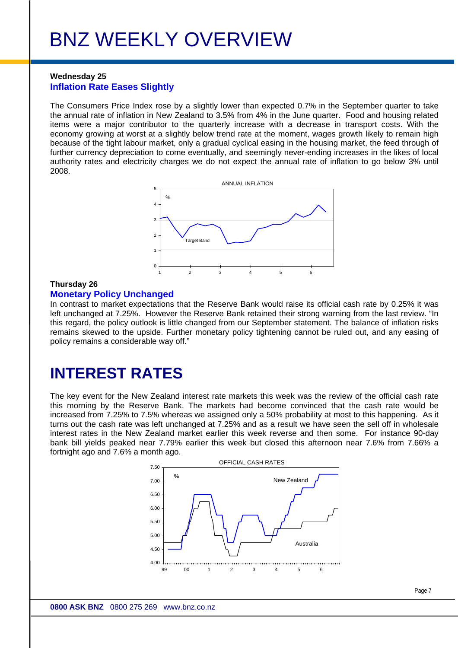### **Wednesday 25 Inflation Rate Eases Slightly**

The Consumers Price Index rose by a slightly lower than expected 0.7% in the September quarter to take the annual rate of inflation in New Zealand to 3.5% from 4% in the June quarter. Food and housing related items were a major contributor to the quarterly increase with a decrease in transport costs. With the economy growing at worst at a slightly below trend rate at the moment, wages growth likely to remain high because of the tight labour market, only a gradual cyclical easing in the housing market, the feed through of further currency depreciation to come eventually, and seemingly never-ending increases in the likes of local authority rates and electricity charges we do not expect the annual rate of inflation to go below 3% until 2008.



### **Thursday 26**

#### **Monetary Policy Unchanged**

In contrast to market expectations that the Reserve Bank would raise its official cash rate by 0.25% it was left unchanged at 7.25%. However the Reserve Bank retained their strong warning from the last review. "In this regard, the policy outlook is little changed from our September statement. The balance of inflation risks remains skewed to the upside. Further monetary policy tightening cannot be ruled out, and any easing of policy remains a considerable way off."

### **INTEREST RATES**

The key event for the New Zealand interest rate markets this week was the review of the official cash rate this morning by the Reserve Bank. The markets had become convinced that the cash rate would be increased from 7.25% to 7.5% whereas we assigned only a 50% probability at most to this happening. As it turns out the cash rate was left unchanged at 7.25% and as a result we have seen the sell off in wholesale interest rates in the New Zealand market earlier this week reverse and then some. For instance 90-day bank bill yields peaked near 7.79% earlier this week but closed this afternoon near 7.6% from 7.66% a fortnight ago and 7.6% a month ago.



Page 7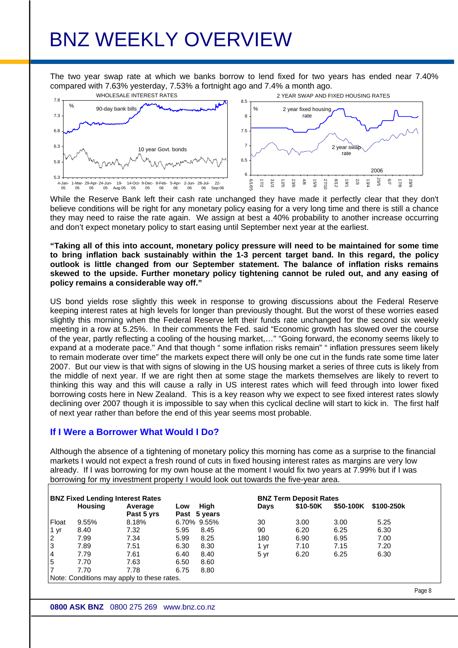The two year swap rate at which we banks borrow to lend fixed for two years has ended near 7.40% compared with 7.63% yesterday, 7.53% a fortnight ago and 7.4% a month ago.



While the Reserve Bank left their cash rate unchanged they have made it perfectly clear that they don't believe conditions will be right for any monetary policy easing for a very long time and there is still a chance they may need to raise the rate again. We assign at best a 40% probability to another increase occurring and don't expect monetary policy to start easing until September next year at the earliest.

**"Taking all of this into account, monetary policy pressure will need to be maintained for some time to bring inflation back sustainably within the 1-3 percent target band. In this regard, the policy outlook is little changed from our September statement. The balance of inflation risks remains skewed to the upside. Further monetary policy tightening cannot be ruled out, and any easing of policy remains a considerable way off."** 

US bond yields rose slightly this week in response to growing discussions about the Federal Reserve keeping interest rates at high levels for longer than previously thought. But the worst of these worries eased slightly this morning when the Federal Reserve left their funds rate unchanged for the second six weekly meeting in a row at 5.25%. In their comments the Fed. said "Economic growth has slowed over the course of the year, partly reflecting a cooling of the housing market,…" "Going forward, the economy seems likely to expand at a moderate pace." And that though " some inflation risks remain" " inflation pressures seem likely to remain moderate over time" the markets expect there will only be one cut in the funds rate some time later 2007. But our view is that with signs of slowing in the US housing market a series of three cuts is likely from the middle of next year. If we are right then at some stage the markets themselves are likely to revert to thinking this way and this will cause a rally in US interest rates which will feed through into lower fixed borrowing costs here in New Zealand. This is a key reason why we expect to see fixed interest rates slowly declining over 2007 though it is impossible to say when this cyclical decline will start to kick in. The first half of next year rather than before the end of this year seems most probable.

### **If I Were a Borrower What Would I Do?**

Although the absence of a tightening of monetary policy this morning has come as a surprise to the financial markets I would not expect a fresh round of cuts in fixed housing interest rates as margins are very low already. If I was borrowing for my own house at the moment I would fix two years at 7.99% but if I was borrowing for my investment property I would look out towards the five-year area.

| <b>BNZ Fixed Lending Interest Rates</b> |                |                                            |      |              | <b>BNZ Term Deposit Rates</b> |          |           |            |  |
|-----------------------------------------|----------------|--------------------------------------------|------|--------------|-------------------------------|----------|-----------|------------|--|
|                                         | <b>Housing</b> | Average                                    | Low  | High         | <b>Days</b>                   | \$10-50K | \$50-100K | \$100-250k |  |
|                                         |                | Past 5 yrs                                 |      | Past 5 years |                               |          |           |            |  |
| Float                                   | 9.55%          | 8.18%                                      |      | 6.70% 9.55%  | 30                            | 3.00     | 3.00      | 5.25       |  |
| 1 yr                                    | 8.40           | 7.32                                       | 5.95 | 8.45         | 90                            | 6.20     | 6.25      | 6.30       |  |
| $\overline{2}$                          | 7.99           | 7.34                                       | 5.99 | 8.25         | 180                           | 6.90     | 6.95      | 7.00       |  |
| $\overline{3}$                          | 7.89           | 7.51                                       | 6.30 | 8.30         | 1 yr                          | 7.10     | 7.15      | 7.20       |  |
| $\overline{4}$                          | 7.79           | 7.61                                       | 6.40 | 8.40         | 5 yr                          | 6.20     | 6.25      | 6.30       |  |
| 5                                       | 7.70           | 7.63                                       | 6.50 | 8.60         |                               |          |           |            |  |
|                                         | 7.70           | 7.78                                       | 6.75 | 8.80         |                               |          |           |            |  |
|                                         |                | Note: Conditions may apply to these rates. |      |              |                               |          |           |            |  |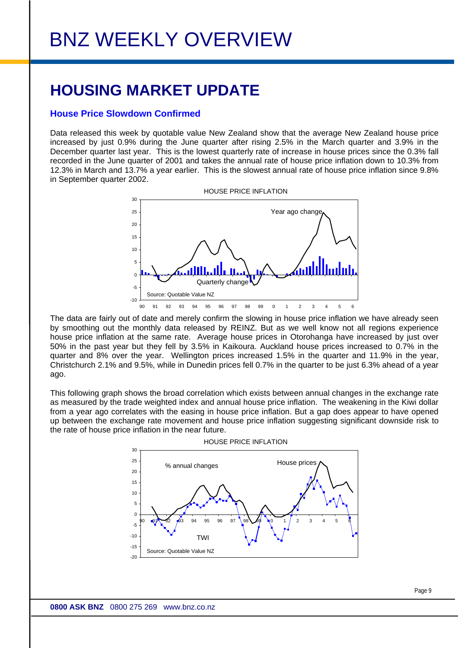### **HOUSING MARKET UPDATE**

### **House Price Slowdown Confirmed**

Data released this week by quotable value New Zealand show that the average New Zealand house price increased by just 0.9% during the June quarter after rising 2.5% in the March quarter and 3.9% in the December quarter last year. This is the lowest quarterly rate of increase in house prices since the 0.3% fall recorded in the June quarter of 2001 and takes the annual rate of house price inflation down to 10.3% from 12.3% in March and 13.7% a year earlier. This is the slowest annual rate of house price inflation since 9.8% in September quarter 2002.



The data are fairly out of date and merely confirm the slowing in house price inflation we have already seen by smoothing out the monthly data released by REINZ. But as we well know not all regions experience house price inflation at the same rate. Average house prices in Otorohanga have increased by just over 50% in the past year but they fell by 3.5% in Kaikoura. Auckland house prices increased to 0.7% in the quarter and 8% over the year. Wellington prices increased 1.5% in the quarter and 11.9% in the year, Christchurch 2.1% and 9.5%, while in Dunedin prices fell 0.7% in the quarter to be just 6.3% ahead of a year ago.

This following graph shows the broad correlation which exists between annual changes in the exchange rate as measured by the trade weighted index and annual house price inflation. The weakening in the Kiwi dollar from a year ago correlates with the easing in house price inflation. But a gap does appear to have opened up between the exchange rate movement and house price inflation suggesting significant downside risk to the rate of house price inflation in the near future.



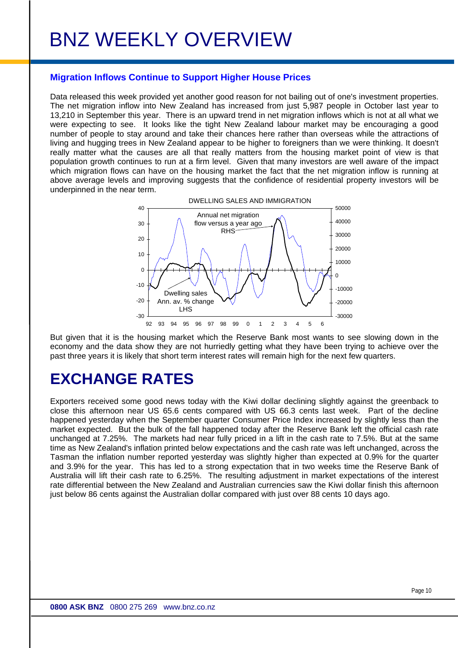### **Migration Inflows Continue to Support Higher House Prices**

Data released this week provided yet another good reason for not bailing out of one's investment properties. The net migration inflow into New Zealand has increased from just 5,987 people in October last year to 13,210 in September this year. There is an upward trend in net migration inflows which is not at all what we were expecting to see. It looks like the tight New Zealand labour market may be encouraging a good number of people to stay around and take their chances here rather than overseas while the attractions of living and hugging trees in New Zealand appear to be higher to foreigners than we were thinking. It doesn't really matter what the causes are all that really matters from the housing market point of view is that population growth continues to run at a firm level. Given that many investors are well aware of the impact which migration flows can have on the housing market the fact that the net migration inflow is running at above average levels and improving suggests that the confidence of residential property investors will be underpinned in the near term.



But given that it is the housing market which the Reserve Bank most wants to see slowing down in the economy and the data show they are not hurriedly getting what they have been trying to achieve over the past three years it is likely that short term interest rates will remain high for the next few quarters.

### **EXCHANGE RATES**

Exporters received some good news today with the Kiwi dollar declining slightly against the greenback to close this afternoon near US 65.6 cents compared with US 66.3 cents last week. Part of the decline happened yesterday when the September quarter Consumer Price Index increased by slightly less than the market expected. But the bulk of the fall happened today after the Reserve Bank left the official cash rate unchanged at 7.25%. The markets had near fully priced in a lift in the cash rate to 7.5%. But at the same time as New Zealand's inflation printed below expectations and the cash rate was left unchanged, across the Tasman the inflation number reported yesterday was slightly higher than expected at 0.9% for the quarter and 3.9% for the year. This has led to a strong expectation that in two weeks time the Reserve Bank of Australia will lift their cash rate to 6.25%. The resulting adjustment in market expectations of the interest rate differential between the New Zealand and Australian currencies saw the Kiwi dollar finish this afternoon just below 86 cents against the Australian dollar compared with just over 88 cents 10 days ago.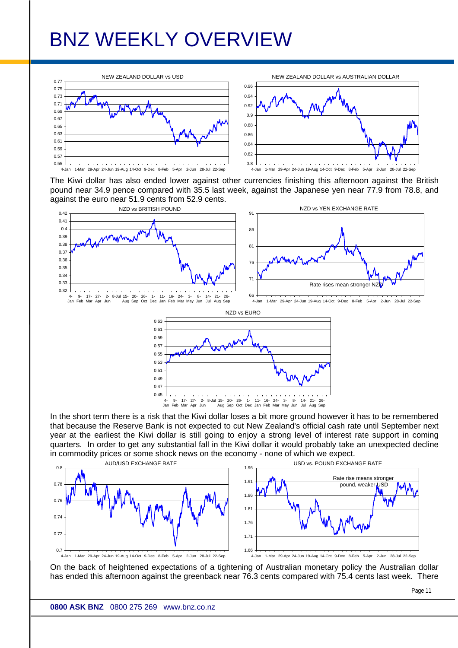

The Kiwi dollar has also ended lower against other currencies finishing this afternoon against the British pound near 34.9 pence compared with 35.5 last week, against the Japanese yen near 77.9 from 78.8, and against the euro near 51.9 cents from 52.9 cents.



In the short term there is a risk that the Kiwi dollar loses a bit more ground however it has to be remembered that because the Reserve Bank is not expected to cut New Zealand's official cash rate until September next year at the earliest the Kiwi dollar is still going to enjoy a strong level of interest rate support in coming quarters. In order to get any substantial fall in the Kiwi dollar it would probably take an unexpected decline in commodity prices or some shock news on the economy - none of which we expect.



On the back of heightened expectations of a tightening of Australian monetary policy the Australian dollar has ended this afternoon against the greenback near 76.3 cents compared with 75.4 cents last week. There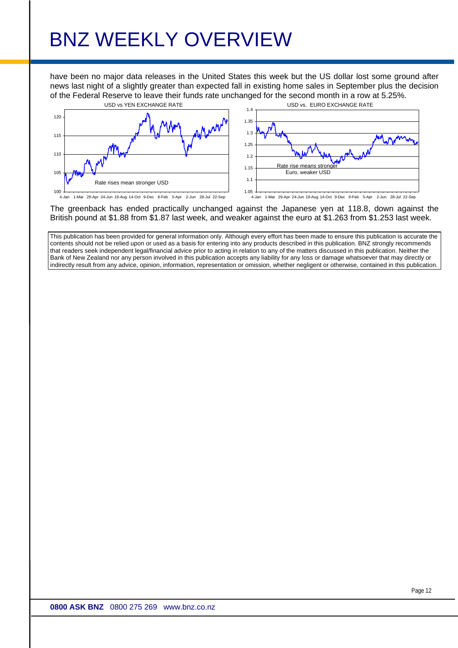have been no major data releases in the United States this week but the US dollar lost some ground after news last night of a slightly greater than expected fall in existing home sales in September plus the decision of the Federal Reserve to leave their funds rate unchanged for the second month in a row at 5.25%.





The greenback has ended practically unchanged against the Japanese yen at 118.8, down against the British pound at \$1.88 from \$1.87 last week, and weaker against the euro at \$1.263 from \$1.253 last week.

This publication has been provided for general information only. Although every effort has been made to ensure this publication is accurate the contents should not be relied upon or used as a basis for entering into any products described in this publication. BNZ strongly recommends that readers seek independent legal/financial advice prior to acting in relation to any of the matters discussed in this publication. Neither the Bank of New Zealand nor any person involved in this publication accepts any liability for any loss or damage whatsoever that may directly or indirectly result from any advice, opinion, information, representation or omission, whether negligent or otherwise, contained in this publication.